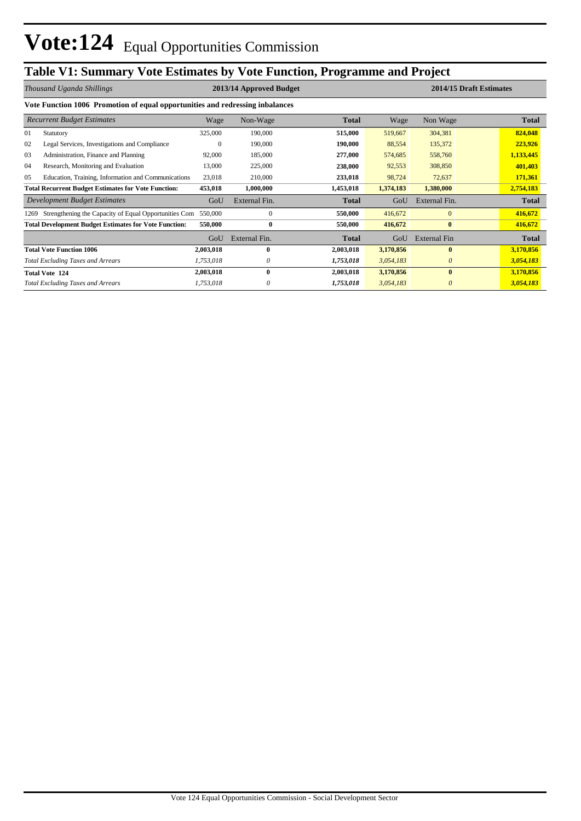## **Table V1: Summary Vote Estimates by Vote Function, Programme and Project**

| Thousand Uganda Shillings                                  |                                                                               |           | 2013/14 Approved Budget |              |           | 2014/15 Draft Estimates |              |  |  |  |  |  |  |
|------------------------------------------------------------|-------------------------------------------------------------------------------|-----------|-------------------------|--------------|-----------|-------------------------|--------------|--|--|--|--|--|--|
|                                                            | Vote Function 1006 Promotion of equal opportunities and redressing inbalances |           |                         |              |           |                         |              |  |  |  |  |  |  |
|                                                            | <b>Recurrent Budget Estimates</b>                                             | Wage      | Non-Wage                | <b>Total</b> | Wage      | Non Wage                | <b>Total</b> |  |  |  |  |  |  |
| 01                                                         | Statutory                                                                     | 325,000   | 190,000                 | 515,000      | 519,667   | 304,381                 | 824,048      |  |  |  |  |  |  |
| 02                                                         | Legal Services, Investigations and Compliance                                 | $\Omega$  | 190,000                 | 190,000      | 88,554    | 135,372                 | 223,926      |  |  |  |  |  |  |
| 03                                                         | Administration, Finance and Planning                                          | 92,000    | 185,000                 | 277,000      | 574,685   | 558,760                 | 1,133,445    |  |  |  |  |  |  |
| 04                                                         | Research, Monitoring and Evaluation                                           | 13,000    | 225,000                 | 238,000      | 92,553    | 308,850                 | 401,403      |  |  |  |  |  |  |
| 05                                                         | Education, Training, Information and Communications                           | 23,018    | 210,000                 | 233,018      | 98,724    | 72,637                  | 171,361      |  |  |  |  |  |  |
| <b>Total Recurrent Budget Estimates for Vote Function:</b> |                                                                               | 453,018   | 1,000,000               | 1,453,018    | 1,374,183 | 1,380,000               | 2,754,183    |  |  |  |  |  |  |
|                                                            | Development Budget Estimates                                                  | GoU       | External Fin.           | <b>Total</b> | GoU       | External Fin.           | <b>Total</b> |  |  |  |  |  |  |
| 1269                                                       | Strengthening the Capacity of Equal Opportunities Com                         | 550,000   | $\mathbf{0}$            | 550,000      | 416,672   | $\mathbf{0}$            | 416,672      |  |  |  |  |  |  |
|                                                            | <b>Total Development Budget Estimates for Vote Function:</b>                  | 550,000   | $\bf{0}$                | 550,000      | 416,672   | $\bf{0}$                | 416,672      |  |  |  |  |  |  |
|                                                            |                                                                               | GoU       | External Fin.           | <b>Total</b> | GoU       | <b>External Fin</b>     | <b>Total</b> |  |  |  |  |  |  |
|                                                            | <b>Total Vote Function 1006</b>                                               | 2,003,018 | 0                       | 2,003,018    | 3,170,856 | $\mathbf{0}$            | 3,170,856    |  |  |  |  |  |  |
|                                                            | <b>Total Excluding Taxes and Arrears</b>                                      | 1,753,018 | 0                       | 1,753,018    | 3,054,183 | 0                       | 3,054,183    |  |  |  |  |  |  |
|                                                            | <b>Total Vote 124</b>                                                         | 2,003,018 | 0                       | 2,003,018    | 3,170,856 | $\mathbf{0}$            | 3,170,856    |  |  |  |  |  |  |
|                                                            | <b>Total Excluding Taxes and Arrears</b>                                      | 1,753,018 | 0                       | 1,753,018    | 3,054,183 | 0                       | 3,054,183    |  |  |  |  |  |  |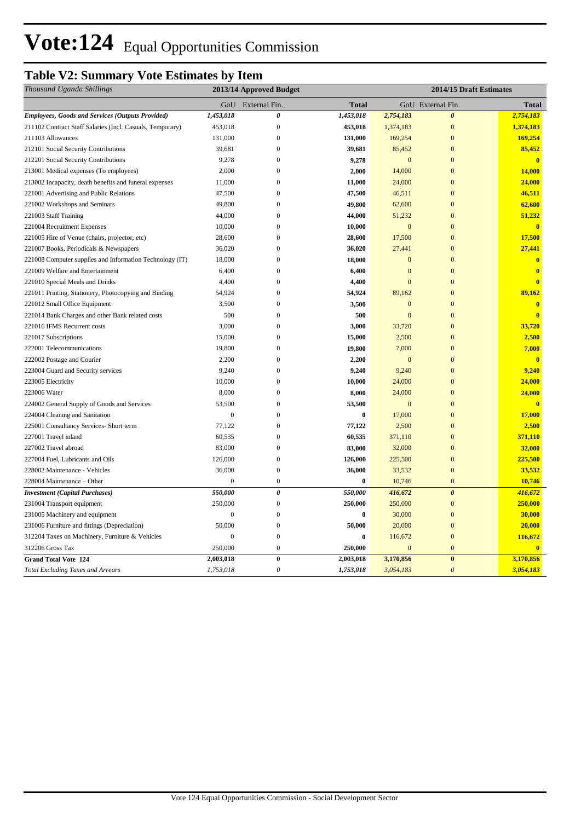## **Table V2: Summary Vote Estimates by Item**

| Thousand Uganda Shillings                                 | 2013/14 Approved Budget |                       |              | 2014/15 Draft Estimates |                       |                         |
|-----------------------------------------------------------|-------------------------|-----------------------|--------------|-------------------------|-----------------------|-------------------------|
|                                                           |                         | GoU External Fin.     | <b>Total</b> |                         | GoU External Fin.     | Total                   |
| <b>Employees, Goods and Services (Outputs Provided)</b>   | 1,453,018               | $\boldsymbol{\theta}$ | 1,453,018    | 2,754,183               | $\boldsymbol{\theta}$ | 2,754,183               |
| 211102 Contract Staff Salaries (Incl. Casuals, Temporary) | 453,018                 | $\mathbf{0}$          | 453,018      | 1,374,183               | $\overline{0}$        | 1,374,183               |
| 211103 Allowances                                         | 131,000                 | $\boldsymbol{0}$      | 131,000      | 169,254                 | $\mathbf{0}$          | 169,254                 |
| 212101 Social Security Contributions                      | 39,681                  | $\boldsymbol{0}$      | 39,681       | 85,452                  | $\overline{0}$        | 85,452                  |
| 212201 Social Security Contributions                      | 9,278                   | $\boldsymbol{0}$      | 9,278        | $\mathbf{0}$            | $\overline{0}$        | $\bf{0}$                |
| 213001 Medical expenses (To employees)                    | 2,000                   | $\overline{0}$        | 2,000        | 14,000                  | $\overline{0}$        | 14,000                  |
| 213002 Incapacity, death benefits and funeral expenses    | 11,000                  | $\boldsymbol{0}$      | 11,000       | 24,000                  | $\mathbf{0}$          | 24,000                  |
| 221001 Advertising and Public Relations                   | 47,500                  | $\mathbf{0}$          | 47,500       | 46,511                  | $\overline{0}$        | 46,511                  |
| 221002 Workshops and Seminars                             | 49,800                  | $\mathbf{0}$          | 49,800       | 62,600                  | $\overline{0}$        | 62,600                  |
| 221003 Staff Training                                     | 44,000                  | $\overline{0}$        | 44,000       | 51,232                  | $\overline{0}$        | 51,232                  |
| 221004 Recruitment Expenses                               | 10,000                  | $\boldsymbol{0}$      | 10,000       | $\mathbf{0}$            | $\overline{0}$        | $\mathbf{0}$            |
| 221005 Hire of Venue (chairs, projector, etc)             | 28,600                  | $\Omega$              | 28,600       | 17,500                  | $\overline{0}$        | 17,500                  |
| 221007 Books, Periodicals & Newspapers                    | 36,020                  | $\boldsymbol{0}$      | 36,020       | 27,441                  | $\mathbf{0}$          | 27,441                  |
| 221008 Computer supplies and Information Technology (IT)  | 18,000                  | $\overline{0}$        | 18,000       | $\mathbf{0}$            | $\overline{0}$        | $\overline{\mathbf{0}}$ |
| 221009 Welfare and Entertainment                          | 6,400                   | $\mathbf{0}$          | 6,400        | $\mathbf{0}$            | $\overline{0}$        | $\mathbf{0}$            |
| 221010 Special Meals and Drinks                           | 4,400                   | $\mathbf{0}$          | 4,400        | $\overline{0}$          | $\mathbf{0}$          | $\mathbf{0}$            |
| 221011 Printing, Stationery, Photocopying and Binding     | 54,924                  | $\boldsymbol{0}$      | 54,924       | 89,162                  | $\mathbf{0}$          | 89,162                  |
| 221012 Small Office Equipment                             | 3,500                   | $\overline{0}$        | 3,500        | $\mathbf{0}$            | $\mathbf{0}$          | $\overline{\mathbf{0}}$ |
| 221014 Bank Charges and other Bank related costs          | 500                     | $\mathbf{0}$          | 500          | $\mathbf{0}$            | $\mathbf{0}$          | $\overline{\mathbf{0}}$ |
| 221016 IFMS Recurrent costs                               | 3,000                   | $\overline{0}$        | 3,000        | 33,720                  | $\overline{0}$        | 33,720                  |
| 221017 Subscriptions                                      | 15,000                  | $\boldsymbol{0}$      | 15,000       | 2,500                   | $\theta$              | 2,500                   |
| 222001 Telecommunications                                 | 19,800                  | $\boldsymbol{0}$      | 19,800       | 7,000                   | $\mathbf{0}$          | 7,000                   |
| 222002 Postage and Courier                                | 2,200                   | $\boldsymbol{0}$      | 2,200        | $\mathbf{0}$            | $\overline{0}$        | $\mathbf{0}$            |
| 223004 Guard and Security services                        | 9,240                   | $\overline{0}$        | 9,240        | 9,240                   | $\overline{0}$        | 9,240                   |
| 223005 Electricity                                        | 10,000                  | $\boldsymbol{0}$      | 10,000       | 24,000                  | $\mathbf{0}$          | 24,000                  |
| 223006 Water                                              | 8,000                   | $\overline{0}$        | 8,000        | 24,000                  | $\overline{0}$        | 24,000                  |
| 224002 General Supply of Goods and Services               | 53,500                  | $\boldsymbol{0}$      | 53,500       | $\mathbf{0}$            | $\mathbf{0}$          | $\overline{\mathbf{0}}$ |
| 224004 Cleaning and Sanitation                            | $\boldsymbol{0}$        | $\boldsymbol{0}$      | $\bf{0}$     | 17,000                  | $\overline{0}$        | 17,000                  |
| 225001 Consultancy Services- Short term                   | 77,122                  | $\boldsymbol{0}$      | 77,122       | 2,500                   | $\mathbf{0}$          | 2,500                   |
| 227001 Travel inland                                      | 60,535                  | $\overline{0}$        | 60,535       | 371,110                 | $\overline{0}$        | 371,110                 |
| 227002 Travel abroad                                      | 83,000                  | $\mathbf{0}$          | 83,000       | 32,000                  | $\overline{0}$        | 32,000                  |
| 227004 Fuel, Lubricants and Oils                          | 126,000                 | $\boldsymbol{0}$      | 126,000      | 225,500                 | $\overline{0}$        | 225,500                 |
| 228002 Maintenance - Vehicles                             | 36,000                  | $\mathbf{0}$          | 36,000       | 33,532                  | $\overline{0}$        | 33,532                  |
| 228004 Maintenance - Other                                | $\boldsymbol{0}$        | $\boldsymbol{0}$      | $\bf{0}$     | 10,746                  | $\mathbf{0}$          | 10,746                  |
| <b>Investment</b> (Capital Purchases)                     | 550,000                 | $\pmb{\theta}$        | 550,000      | 416,672                 | $\boldsymbol{\theta}$ | 416,672                 |
| 231004 Transport equipment                                | 250,000                 | $\boldsymbol{0}$      | 250,000      | 250,000                 | $\mathbf{0}$          | 250,000                 |
| 231005 Machinery and equipment                            | $\mathbf{0}$            | $\mathbf{0}$          | $\bf{0}$     | 30,000                  | $\overline{0}$        | 30,000                  |
| 231006 Furniture and fittings (Depreciation)              | 50,000                  | $\boldsymbol{0}$      | 50,000       | 20,000                  | $\overline{0}$        | 20,000                  |
| 312204 Taxes on Machinery, Furniture & Vehicles           | $\mathbf{0}$            | $\mathbf{0}$          | $\bf{0}$     | 116,672                 | $\overline{0}$        | 116,672                 |
| 312206 Gross Tax                                          | 250,000                 | $\mathbf{0}$          | 250,000      | $\mathbf{0}$            | $\mathbf{0}$          | $\bf{0}$                |
| <b>Grand Total Vote 124</b>                               | 2,003,018               | $\boldsymbol{0}$      | 2,003,018    | 3,170,856               | $\bf{0}$              | 3,170,856               |
| <b>Total Excluding Taxes and Arrears</b>                  | 1,753,018               | $\boldsymbol{\theta}$ | 1,753,018    | 3,054,183               | $\boldsymbol{\theta}$ | 3,054,183               |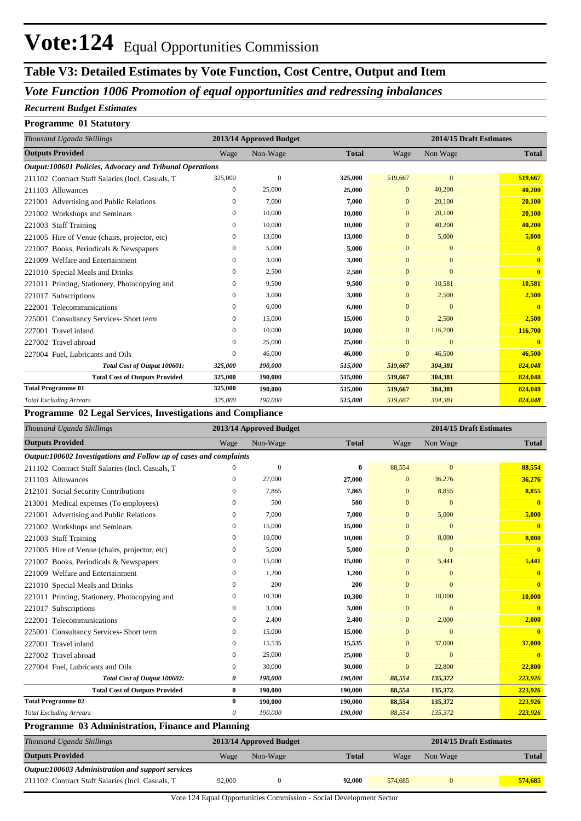### **Table V3: Detailed Estimates by Vote Function, Cost Centre, Output and Item**

### *Vote Function 1006 Promotion of equal opportunities and redressing inbalances*

#### *Recurrent Budget Estimates*

#### **Programme 01 Statutory**

| Thousand Uganda Shillings                                |                  | 2013/14 Approved Budget |              |              | 2014/15 Draft Estimates |              |
|----------------------------------------------------------|------------------|-------------------------|--------------|--------------|-------------------------|--------------|
| <b>Outputs Provided</b>                                  | Wage             | Non-Wage                | <b>Total</b> | Wage         | Non Wage                | <b>Total</b> |
| Output:100601 Policies, Advocacy and Tribunal Operations |                  |                         |              |              |                         |              |
| 211102 Contract Staff Salaries (Incl. Casuals, T         | 325,000          | $\theta$                | 325,000      | 519,667      | $\mathbf{0}$            | 519,667      |
| 211103 Allowances                                        | $\overline{0}$   | 25,000                  | 25,000       | $\mathbf{0}$ | 40,200                  | 40,200       |
| 221001 Advertising and Public Relations                  | $\mathbf{0}$     | 7,000                   | 7,000        | $\mathbf{0}$ | 20,100                  | 20,100       |
| 221002 Workshops and Seminars                            | 0                | 10,000                  | 10,000       | $\mathbf{0}$ | 20,100                  | 20,100       |
| <b>Staff Training</b><br>221003                          | $\boldsymbol{0}$ | 10,000                  | 10,000       | $\mathbf{0}$ | 40,200                  | 40,200       |
| 221005 Hire of Venue (chairs, projector, etc)            | $\mathbf{0}$     | 13,000                  | 13,000       | $\mathbf{0}$ | 5,000                   | 5,000        |
| Books, Periodicals & Newspapers<br>221007                | $\mathbf{0}$     | 5,000                   | 5,000        | $\mathbf{0}$ | $\mathbf{0}$            | $\mathbf{0}$ |
| Welfare and Entertainment<br>221009                      | $\mathbf{0}$     | 3,000                   | 3,000        | $\mathbf{0}$ | $\mathbf{0}$            | $\mathbf{0}$ |
| 221010 Special Meals and Drinks                          | $\mathbf{0}$     | 2,500                   | 2,500        | $\mathbf{0}$ | $\Omega$                | $\bf{0}$     |
| 221011 Printing, Stationery, Photocopying and            | $\Omega$         | 9,500                   | 9,500        | $\Omega$     | 10,581                  | 10,581       |
| Subscriptions<br>221017                                  | $\mathbf{0}$     | 3,000                   | 3,000        | $\mathbf{0}$ | 2,500                   | 2,500        |
| Telecommunications<br>222001                             | $\mathbf{0}$     | 6,000                   | 6,000        | $\Omega$     | $\Omega$                | $\mathbf{0}$ |
| <b>Consultancy Services- Short term</b><br>225001        | $\mathbf{0}$     | 15,000                  | 15,000       | $\mathbf{0}$ | 2,500                   | 2,500        |
| Travel inland<br>227001                                  | $\mathbf{0}$     | 10,000                  | 10,000       | $\mathbf{0}$ | 116,700                 | 116,700      |
| 227002 Travel abroad                                     | $\mathbf{0}$     | 25,000                  | 25,000       | $\mathbf{0}$ | $\overline{0}$          |              |
| 227004 Fuel, Lubricants and Oils                         | $\mathbf{0}$     | 46,000                  | 46,000       | $\Omega$     | 46,500                  | 46,500       |
| Total Cost of Output 100601:                             | 325,000          | 190,000                 | 515,000      | 519,667      | 304,381                 | 824,048      |
| <b>Total Cost of Outputs Provided</b>                    | 325,000          | 190,000                 | 515,000      | 519,667      | 304,381                 | 824,048      |
| <b>Total Programme 01</b>                                | 325,000          | 190,000                 | 515,000      | 519,667      | 304,381                 | 824,048      |
| <b>Total Excluding Arrears</b>                           | 325,000          | 190,000                 | 515,000      | 519,667      | 304,381                 | 824,048      |

#### **Programme 02 Legal Services, Investigations and Compliance**

| <b>Outputs Provided</b><br>Non-Wage<br>Non Wage<br>Wage<br><b>Total</b><br>Wage<br>Output:100602 Investigations and Follow up of cases and complaints<br>$\overline{0}$<br>88,554<br>$\Omega$<br>211102 Contract Staff Salaries (Incl. Casuals, T<br>$\bf{0}$<br>36,276<br>211103 Allowances<br>27,000<br>27,000<br>$\mathbf{0}$<br>0<br>8,855<br>212101 Social Security Contributions<br>7.865<br>7,865<br>0<br>$\mathbf{0}$<br>213001 Medical expenses (To employees)<br>500<br>500<br>$\mathbf{0}$<br>$\Omega$<br>0<br>7,000<br>5,000<br>221001 Advertising and Public Relations<br>7,000<br>$\Omega$<br>0<br>15,000<br>15,000<br>221002 Workshops and Seminars<br>$\mathbf{0}$<br>$\mathbf{0}$<br>0<br>221003 Staff Training<br>10,000<br>10,000<br>8,000<br>0<br>$\mathbf{0}$<br>221005 Hire of Venue (chairs, projector, etc)<br>5,000<br>5,000<br>$\overline{0}$<br>0<br>$\mathbf{0}$<br>15,000<br>0<br>$\mathbf{0}$ | Thousand Uganda Shillings              |  | 2013/14 Approved Budget |        | 2014/15 Draft Estimates |       |                         |  |  |
|-----------------------------------------------------------------------------------------------------------------------------------------------------------------------------------------------------------------------------------------------------------------------------------------------------------------------------------------------------------------------------------------------------------------------------------------------------------------------------------------------------------------------------------------------------------------------------------------------------------------------------------------------------------------------------------------------------------------------------------------------------------------------------------------------------------------------------------------------------------------------------------------------------------------------------|----------------------------------------|--|-------------------------|--------|-------------------------|-------|-------------------------|--|--|
|                                                                                                                                                                                                                                                                                                                                                                                                                                                                                                                                                                                                                                                                                                                                                                                                                                                                                                                             |                                        |  |                         |        |                         |       | <b>Total</b>            |  |  |
|                                                                                                                                                                                                                                                                                                                                                                                                                                                                                                                                                                                                                                                                                                                                                                                                                                                                                                                             |                                        |  |                         |        |                         |       |                         |  |  |
|                                                                                                                                                                                                                                                                                                                                                                                                                                                                                                                                                                                                                                                                                                                                                                                                                                                                                                                             |                                        |  |                         |        |                         |       | 88,554                  |  |  |
|                                                                                                                                                                                                                                                                                                                                                                                                                                                                                                                                                                                                                                                                                                                                                                                                                                                                                                                             |                                        |  |                         |        |                         |       | 36,276                  |  |  |
|                                                                                                                                                                                                                                                                                                                                                                                                                                                                                                                                                                                                                                                                                                                                                                                                                                                                                                                             |                                        |  |                         |        |                         |       | 8,855                   |  |  |
|                                                                                                                                                                                                                                                                                                                                                                                                                                                                                                                                                                                                                                                                                                                                                                                                                                                                                                                             |                                        |  |                         |        |                         |       | $\mathbf{0}$            |  |  |
|                                                                                                                                                                                                                                                                                                                                                                                                                                                                                                                                                                                                                                                                                                                                                                                                                                                                                                                             |                                        |  |                         |        |                         |       | 5,000                   |  |  |
|                                                                                                                                                                                                                                                                                                                                                                                                                                                                                                                                                                                                                                                                                                                                                                                                                                                                                                                             |                                        |  |                         |        |                         |       | $\mathbf{0}$            |  |  |
|                                                                                                                                                                                                                                                                                                                                                                                                                                                                                                                                                                                                                                                                                                                                                                                                                                                                                                                             |                                        |  |                         |        |                         |       | 8,000                   |  |  |
|                                                                                                                                                                                                                                                                                                                                                                                                                                                                                                                                                                                                                                                                                                                                                                                                                                                                                                                             |                                        |  |                         |        |                         |       | $\overline{\mathbf{0}}$ |  |  |
|                                                                                                                                                                                                                                                                                                                                                                                                                                                                                                                                                                                                                                                                                                                                                                                                                                                                                                                             | 221007 Books, Periodicals & Newspapers |  |                         | 15,000 |                         | 5,441 | 5,441                   |  |  |
| 221009 Welfare and Entertainment<br>1,200<br>1,200<br>0<br>$\mathbf{0}$<br>$\Omega$                                                                                                                                                                                                                                                                                                                                                                                                                                                                                                                                                                                                                                                                                                                                                                                                                                         |                                        |  |                         |        |                         |       | $\mathbf{0}$            |  |  |
| 200<br>200<br>221010 Special Meals and Drinks<br>0<br>$\Omega$<br>$\Omega$                                                                                                                                                                                                                                                                                                                                                                                                                                                                                                                                                                                                                                                                                                                                                                                                                                                  |                                        |  |                         |        |                         |       | $\mathbf{0}$            |  |  |
| 10,300<br>10,300<br>10,000<br>221011 Printing, Stationery, Photocopying and<br>0<br>$\Omega$                                                                                                                                                                                                                                                                                                                                                                                                                                                                                                                                                                                                                                                                                                                                                                                                                                |                                        |  |                         |        |                         |       | 10,000                  |  |  |
| 221017 Subscriptions<br>3,000<br>3,000<br>$\mathbf{0}$<br>$\Omega$<br>0                                                                                                                                                                                                                                                                                                                                                                                                                                                                                                                                                                                                                                                                                                                                                                                                                                                     |                                        |  |                         |        |                         |       | $\mathbf{0}$            |  |  |
| 2,400<br>2,400<br>2,000<br>222001 Telecommunications<br>0<br>$\Omega$                                                                                                                                                                                                                                                                                                                                                                                                                                                                                                                                                                                                                                                                                                                                                                                                                                                       |                                        |  |                         |        |                         |       | 2,000                   |  |  |
| 15,000<br>225001 Consultancy Services- Short term<br>0<br>15,000<br>$\mathbf{0}$<br>$\mathbf{0}$                                                                                                                                                                                                                                                                                                                                                                                                                                                                                                                                                                                                                                                                                                                                                                                                                            |                                        |  |                         |        |                         |       | $\mathbf{0}$            |  |  |
| 227001 Travel inland<br>15,535<br>15,535<br>37,000<br>0<br>$\mathbf{0}$                                                                                                                                                                                                                                                                                                                                                                                                                                                                                                                                                                                                                                                                                                                                                                                                                                                     |                                        |  |                         |        |                         |       | 37,000                  |  |  |
| 227002 Travel abroad<br>25,000<br>25,000<br>$\theta$<br>$\Omega$<br>0                                                                                                                                                                                                                                                                                                                                                                                                                                                                                                                                                                                                                                                                                                                                                                                                                                                       |                                        |  |                         |        |                         |       | $\mathbf{0}$            |  |  |
| 30,000<br>30,000<br>22,800<br>227004 Fuel, Lubricants and Oils<br>$\mathbf{0}$<br>0                                                                                                                                                                                                                                                                                                                                                                                                                                                                                                                                                                                                                                                                                                                                                                                                                                         |                                        |  |                         |        |                         |       | 22,800                  |  |  |
| 190,000<br>88,554<br>135,372<br>Total Cost of Output 100602:<br>190,000<br>0                                                                                                                                                                                                                                                                                                                                                                                                                                                                                                                                                                                                                                                                                                                                                                                                                                                |                                        |  |                         |        |                         |       | 223,926                 |  |  |
| <b>Total Cost of Outputs Provided</b><br>190,000<br>$\bf{0}$<br>190,000<br>88,554<br>135,372                                                                                                                                                                                                                                                                                                                                                                                                                                                                                                                                                                                                                                                                                                                                                                                                                                |                                        |  |                         |        |                         |       | 223,926                 |  |  |
| <b>Total Programme 02</b><br>$\bf{0}$<br>190,000<br>135,372<br>190,000<br>88,554                                                                                                                                                                                                                                                                                                                                                                                                                                                                                                                                                                                                                                                                                                                                                                                                                                            |                                        |  |                         |        |                         |       | 223,926                 |  |  |
| <b>Total Excluding Arrears</b><br>190,000<br>135,372<br>0<br>190,000<br>88,554                                                                                                                                                                                                                                                                                                                                                                                                                                                                                                                                                                                                                                                                                                                                                                                                                                              |                                        |  |                         |        |                         |       | 223,926                 |  |  |

#### **Programme 03 Administration, Finance and Planning**

| Thousand Uganda Shillings                         | 2013/14 Approved Budget |          |              |         | 2014/15 Draft Estimates |              |
|---------------------------------------------------|-------------------------|----------|--------------|---------|-------------------------|--------------|
| <b>Outputs Provided</b>                           | Wage                    | Non-Wage | <b>Total</b> | Wage    | Non Wage                | <b>Total</b> |
| Output:100603 Administration and support services |                         |          |              |         |                         |              |
| 211102 Contract Staff Salaries (Incl. Casuals, T  | 92,000                  |          | 92,000       | 574,685 |                         | 574.685      |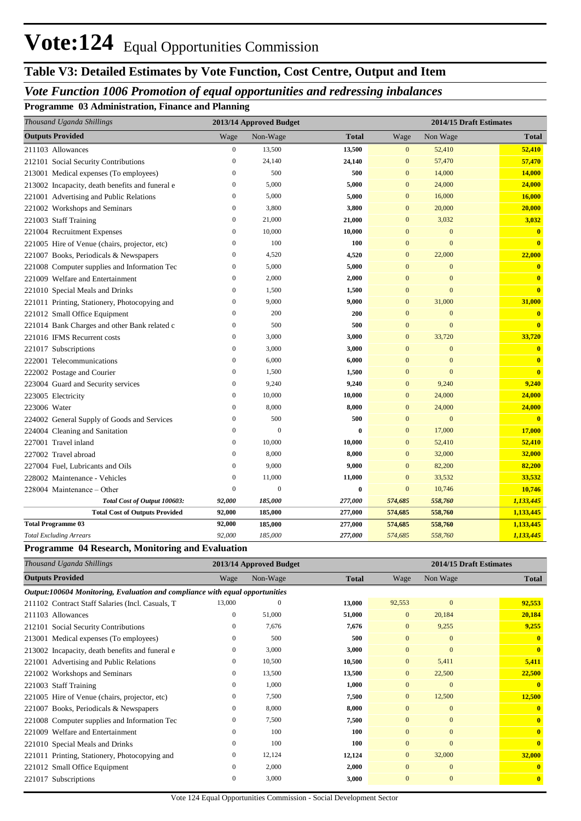### **Table V3: Detailed Estimates by Vote Function, Cost Centre, Output and Item**

### *Vote Function 1006 Promotion of equal opportunities and redressing inbalances*

**Programme 03 Administration, Finance and Planning**

| Thousand Uganda Shillings                       |                  | 2013/14 Approved Budget |              |                | 2014/15 Draft Estimates |                         |
|-------------------------------------------------|------------------|-------------------------|--------------|----------------|-------------------------|-------------------------|
| <b>Outputs Provided</b>                         | Wage             | Non-Wage                | <b>Total</b> | Wage           | Non Wage                | <b>Total</b>            |
| 211103 Allowances                               | $\mathbf{0}$     | 13,500                  | 13,500       | $\mathbf{0}$   | 52,410                  | 52,410                  |
| 212101 Social Security Contributions            | $\mathbf{0}$     | 24,140                  | 24,140       | $\mathbf{0}$   | 57,470                  | 57,470                  |
| 213001 Medical expenses (To employees)          | $\theta$         | 500                     | 500          | $\overline{0}$ | 14,000                  | 14,000                  |
| 213002 Incapacity, death benefits and funeral e | $\boldsymbol{0}$ | 5,000                   | 5,000        | $\mathbf{0}$   | 24,000                  | 24,000                  |
| 221001 Advertising and Public Relations         | $\mathbf{0}$     | 5,000                   | 5,000        | $\mathbf{0}$   | 16,000                  | 16,000                  |
| 221002 Workshops and Seminars                   | $\mathbf{0}$     | 3,800                   | 3,800        | $\overline{0}$ | 20,000                  | 20,000                  |
| 221003 Staff Training                           | $\mathbf{0}$     | 21,000                  | 21,000       | $\mathbf{0}$   | 3,032                   | 3,032                   |
| 221004 Recruitment Expenses                     | $\mathbf{0}$     | 10,000                  | 10,000       | $\Omega$       | $\mathbf{0}$            | $\bf{0}$                |
| 221005 Hire of Venue (chairs, projector, etc)   | $\mathbf{0}$     | 100                     | 100          | $\mathbf{0}$   | $\overline{0}$          | $\mathbf{0}$            |
| 221007 Books, Periodicals & Newspapers          | $\mathbf{0}$     | 4,520                   | 4,520        | $\mathbf{0}$   | 22,000                  | 22,000                  |
| 221008 Computer supplies and Information Tec    | $\mathbf{0}$     | 5,000                   | 5,000        | $\Omega$       | $\overline{0}$          | $\overline{\mathbf{0}}$ |
| 221009 Welfare and Entertainment                | $\mathbf{0}$     | 2,000                   | 2,000        | $\overline{0}$ | $\overline{0}$          | $\mathbf{0}$            |
| 221010 Special Meals and Drinks                 | $\mathbf{0}$     | 1,500                   | 1,500        | $\Omega$       | $\overline{0}$          | $\overline{\mathbf{0}}$ |
| 221011 Printing, Stationery, Photocopying and   | $\mathbf{0}$     | 9,000                   | 9,000        | $\mathbf{0}$   | 31,000                  | 31,000                  |
| 221012 Small Office Equipment                   | $\mathbf{0}$     | 200                     | 200          | $\overline{0}$ | $\mathbf{0}$            | $\overline{\mathbf{0}}$ |
| 221014 Bank Charges and other Bank related c    | $\boldsymbol{0}$ | 500                     | 500          | $\mathbf{0}$   | $\overline{0}$          | $\overline{\mathbf{0}}$ |
| 221016 IFMS Recurrent costs                     | $\mathbf{0}$     | 3,000                   | 3,000        | $\mathbf{0}$   | 33,720                  | 33,720                  |
| 221017 Subscriptions                            | $\boldsymbol{0}$ | 3,000                   | 3,000        | $\mathbf{0}$   | $\mathbf{0}$            | $\mathbf{0}$            |
| 222001 Telecommunications                       | $\mathbf{0}$     | 6,000                   | 6,000        | $\overline{0}$ | $\mathbf{0}$            | $\mathbf{0}$            |
| 222002 Postage and Courier                      | $\mathbf{0}$     | 1,500                   | 1,500        | $\overline{0}$ | $\overline{0}$          | $\mathbf{0}$            |
| 223004 Guard and Security services              | $\boldsymbol{0}$ | 9,240                   | 9,240        | $\mathbf{0}$   | 9,240                   | 9,240                   |
| 223005 Electricity                              | $\boldsymbol{0}$ | 10,000                  | 10,000       | $\mathbf{0}$   | 24,000                  | 24,000                  |
| 223006 Water                                    | $\boldsymbol{0}$ | 8,000                   | 8,000        | $\mathbf{0}$   | 24,000                  | 24,000                  |
| 224002 General Supply of Goods and Services     | $\boldsymbol{0}$ | 500                     | 500          | $\overline{0}$ | $\overline{0}$          | $\mathbf{0}$            |
| 224004 Cleaning and Sanitation                  | $\mathbf{0}$     | $\theta$                | $\mathbf{0}$ | $\overline{0}$ | 17,000                  | 17,000                  |
| 227001 Travel inland                            | $\overline{0}$   | 10,000                  | 10,000       | $\overline{0}$ | 52,410                  | 52,410                  |
| 227002 Travel abroad                            | $\overline{0}$   | 8,000                   | 8,000        | $\overline{0}$ | 32,000                  | 32,000                  |
| 227004 Fuel, Lubricants and Oils                | $\mathbf{0}$     | 9,000                   | 9,000        | $\mathbf{0}$   | 82,200                  | 82,200                  |
| 228002 Maintenance - Vehicles                   | $\mathbf{0}$     | 11,000                  | 11,000       | $\mathbf{0}$   | 33,532                  | 33,532                  |
| 228004 Maintenance - Other                      | $\mathbf{0}$     | $\theta$                | $\bf{0}$     | $\overline{0}$ | 10,746                  | 10,746                  |
| Total Cost of Output 100603:                    | 92,000           | 185,000                 | 277,000      | 574,685        | 558,760                 | 1,133,445               |
| <b>Total Cost of Outputs Provided</b>           | 92,000           | 185,000                 | 277,000      | 574,685        | 558,760                 | 1,133,445               |
| <b>Total Programme 03</b>                       | 92,000           | 185,000                 | 277,000      | 574,685        | 558,760                 | 1,133,445               |
| <b>Total Excluding Arrears</b>                  | 92,000           | 185,000                 | 277,000      | 574,685        | 558,760                 | 1,133,445               |

#### **Programme 04 Research, Monitoring and Evaluation**

| Thousand Uganda Shillings                                                    |                  | 2013/14 Approved Budget |              | 2014/15 Draft Estimates |              |              |
|------------------------------------------------------------------------------|------------------|-------------------------|--------------|-------------------------|--------------|--------------|
| <b>Outputs Provided</b>                                                      | Wage             | Non-Wage                | <b>Total</b> | Wage                    | Non Wage     | <b>Total</b> |
| Output:100604 Monitoring, Evaluation and compliance with equal opportunities |                  |                         |              |                         |              |              |
| 211102 Contract Staff Salaries (Incl. Casuals, T                             | 13,000           | $\mathbf{0}$            | 13,000       | 92,553                  | $\mathbf{0}$ | 92,553       |
| 211103 Allowances                                                            | $\mathbf{0}$     | 51,000                  | 51,000       | $\mathbf{0}$            | 20,184       | 20,184       |
| 212101 Social Security Contributions                                         | $\mathbf{0}$     | 7,676                   | 7,676        | $\overline{0}$          | 9,255        | 9,255        |
| 213001 Medical expenses (To employees)                                       | $\mathbf{0}$     | 500                     | 500          | $\overline{0}$          | $\mathbf{0}$ |              |
| 213002 Incapacity, death benefits and funeral e                              | $\boldsymbol{0}$ | 3,000                   | 3,000        | $\mathbf{0}$            | $\mathbf{0}$ | $\mathbf{0}$ |
| 221001 Advertising and Public Relations                                      | $\mathbf{0}$     | 10,500                  | 10,500       | $\overline{0}$          | 5,411        | 5,411        |
| 221002 Workshops and Seminars                                                | $\mathbf{0}$     | 13,500                  | 13,500       | $\mathbf{0}$            | 22,500       | 22,500       |
| 221003 Staff Training                                                        | $\mathbf{0}$     | 1,000                   | 1,000        | $\mathbf{0}$            | $\mathbf{0}$ | $\mathbf{0}$ |
| 221005 Hire of Venue (chairs, projector, etc)                                | $\mathbf{0}$     | 7,500                   | 7,500        | $\mathbf{0}$            | 12,500       | 12,500       |
| 221007 Books, Periodicals & Newspapers                                       | $\mathbf{0}$     | 8,000                   | 8,000        | $\mathbf{0}$            | $\mathbf{0}$ |              |
| 221008 Computer supplies and Information Tec                                 | $\mathbf{0}$     | 7,500                   | 7,500        | $\mathbf{0}$            | $\mathbf{0}$ | $\mathbf{0}$ |
| 221009 Welfare and Entertainment                                             | $\mathbf{0}$     | 100                     | 100          | $\mathbf{0}$            | $\mathbf{0}$ | $\mathbf{0}$ |
| 221010 Special Meals and Drinks                                              | $\mathbf{0}$     | 100                     | 100          | $\mathbf{0}$            | $\mathbf{0}$ | $\mathbf{0}$ |
| 221011 Printing, Stationery, Photocopying and                                | $\mathbf{0}$     | 12,124                  | 12,124       | $\mathbf{0}$            | 32,000       | 32,000       |
| 221012 Small Office Equipment                                                | $\mathbf{0}$     | 2,000                   | 2,000        | $\mathbf{0}$            | $\mathbf{0}$ |              |
| 221017 Subscriptions                                                         | $\mathbf{0}$     | 3,000                   | 3,000        | $\mathbf{0}$            | $\mathbf{0}$ | $\mathbf{0}$ |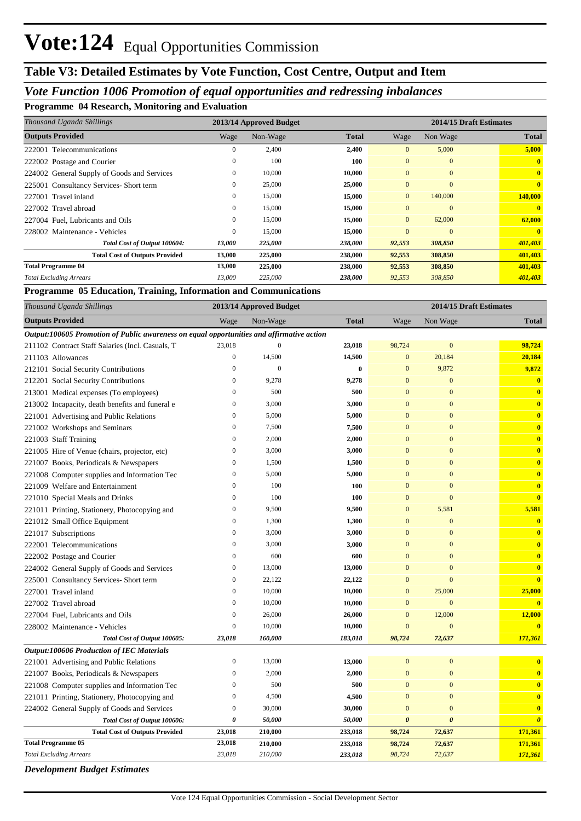### **Table V3: Detailed Estimates by Vote Function, Cost Centre, Output and Item**

#### *Vote Function 1006 Promotion of equal opportunities and redressing inbalances*

**Programme 04 Research, Monitoring and Evaluation**

| Thousand Uganda Shillings                   | 2013/14 Approved Budget |          |                       | 2014/15 Draft Estimates |              |                         |
|---------------------------------------------|-------------------------|----------|-----------------------|-------------------------|--------------|-------------------------|
| <b>Outputs Provided</b>                     | Wage                    | Non-Wage | <b>Total</b>          | Wage                    | Non Wage     | <b>Total</b>            |
| 222001 Telecommunications                   | 0                       | 2,400    | 2,400                 | $\overline{0}$          | 5,000        | 5,000                   |
| 222002 Postage and Courier                  | $\mathbf{0}$            | 100      | 100                   | $\mathbf{0}$            | $\mathbf{0}$ | $\mathbf{0}$            |
| 224002 General Supply of Goods and Services | $\mathbf{0}$            | 10,000   | 10,000                | $\overline{0}$          | $\mathbf{0}$ | $\mathbf{0}$            |
| 225001 Consultancy Services- Short term     | $\mathbf{0}$            | 25,000   | 25,000                | $\mathbf{0}$            | $\mathbf{0}$ | $\overline{\mathbf{0}}$ |
| 227001 Travel inland                        | $\mathbf{0}$            | 15,000   | 15,000                | $\overline{0}$          | 140,000      | 140,000                 |
| 227002 Travel abroad                        | $\mathbf{0}$            | 15,000   | 15,000                | $\overline{0}$          | $\mathbf{0}$ |                         |
| 227004 Fuel, Lubricants and Oils            | $\overline{0}$          | 15,000   | 15,000                | $\overline{0}$          | 62,000       | 62,000                  |
| 228002 Maintenance - Vehicles               | $\mathbf{0}$            | 15,000   | 15,000                | $\Omega$                | $\mathbf{0}$ | $\mathbf{0}$            |
| Total Cost of Output 100604:                | 13,000                  | 225,000  | 238,000               | 92,553                  | 308,850      | 401,403                 |
| <b>Total Cost of Outputs Provided</b>       | 13,000                  | 225,000  | 238,000               | 92,553                  | 308,850      | 401,403                 |
| <b>Total Programme 04</b>                   | 13,000                  | 225,000  | 238,000               | 92,553                  | 308,850      | 401,403                 |
| <b>Total Excluding Arrears</b>              | 13,000                  | 225,000  | <i><b>238,000</b></i> | 92,553                  | 308,850      | 401,403                 |

**Programme 05 Education, Training, Information and Communications**

| Thousand Uganda Shillings                                                                 |                  | 2013/14 Approved Budget |              | 2014/15 Draft Estimates |                       |                         |  |
|-------------------------------------------------------------------------------------------|------------------|-------------------------|--------------|-------------------------|-----------------------|-------------------------|--|
| <b>Outputs Provided</b>                                                                   | Wage             | Non-Wage                | <b>Total</b> | Wage                    | Non Wage              | <b>Total</b>            |  |
| Output:100605 Promotion of Public awareness on equal opportunities and affirmative action |                  |                         |              |                         |                       |                         |  |
| 211102 Contract Staff Salaries (Incl. Casuals, T                                          | 23,018           | $\mathbf{0}$            | 23,018       | 98,724                  | $\mathbf{0}$          | 98,724                  |  |
| 211103 Allowances                                                                         | $\boldsymbol{0}$ | 14,500                  | 14,500       | $\mathbf{0}$            | 20,184                | 20,184                  |  |
| 212101 Social Security Contributions                                                      | $\overline{0}$   | $\overline{0}$          | $\bf{0}$     | $\mathbf{0}$            | 9,872                 | 9,872                   |  |
| 212201 Social Security Contributions                                                      | $\boldsymbol{0}$ | 9,278                   | 9,278        | $\mathbf{0}$            | $\mathbf{0}$          | $\bf{0}$                |  |
| 213001 Medical expenses (To employees)                                                    | $\mathbf{0}$     | 500                     | 500          | $\overline{0}$          | $\overline{0}$        | $\overline{\mathbf{0}}$ |  |
| 213002 Incapacity, death benefits and funeral e                                           | $\mathbf{0}$     | 3,000                   | 3,000        | $\overline{0}$          | $\overline{0}$        | $\mathbf{0}$            |  |
| 221001 Advertising and Public Relations                                                   | $\boldsymbol{0}$ | 5,000                   | 5,000        | $\overline{0}$          | $\overline{0}$        | $\mathbf{0}$            |  |
| 221002 Workshops and Seminars                                                             | $\boldsymbol{0}$ | 7,500                   | 7,500        | $\overline{0}$          | $\overline{0}$        | $\mathbf{0}$            |  |
| 221003 Staff Training                                                                     | $\boldsymbol{0}$ | 2,000                   | 2,000        | $\bf{0}$                | $\mathbf{0}$          | $\mathbf{0}$            |  |
| 221005 Hire of Venue (chairs, projector, etc)                                             | $\boldsymbol{0}$ | 3,000                   | 3,000        | $\overline{0}$          | $\overline{0}$        | $\mathbf{0}$            |  |
| 221007 Books, Periodicals & Newspapers                                                    | $\boldsymbol{0}$ | 1,500                   | 1,500        | $\bf{0}$                | $\mathbf{0}$          | $\mathbf{0}$            |  |
| 221008 Computer supplies and Information Tec                                              | $\boldsymbol{0}$ | 5,000                   | 5,000        | $\overline{0}$          | $\overline{0}$        | $\mathbf{0}$            |  |
| 221009 Welfare and Entertainment                                                          | $\boldsymbol{0}$ | 100                     | 100          | $\bf{0}$                | $\mathbf{0}$          | $\mathbf{0}$            |  |
| 221010 Special Meals and Drinks                                                           | $\boldsymbol{0}$ | 100                     | 100          | $\bf{0}$                | $\mathbf{0}$          | $\mathbf{0}$            |  |
| 221011 Printing, Stationery, Photocopying and                                             | $\boldsymbol{0}$ | 9,500                   | 9,500        | $\boldsymbol{0}$        | 5,581                 | 5,581                   |  |
| 221012 Small Office Equipment                                                             | $\mathbf{0}$     | 1,300                   | 1,300        | $\overline{0}$          | $\overline{0}$        | $\overline{\mathbf{0}}$ |  |
| 221017 Subscriptions                                                                      | $\mathbf{0}$     | 3,000                   | 3,000        | $\overline{0}$          | $\overline{0}$        | $\mathbf{0}$            |  |
| 222001 Telecommunications                                                                 | $\boldsymbol{0}$ | 3,000                   | 3,000        | $\bf{0}$                | $\mathbf{0}$          | $\mathbf{0}$            |  |
| 222002 Postage and Courier                                                                | $\mathbf{0}$     | 600                     | 600          | $\overline{0}$          | $\overline{0}$        | $\mathbf{0}$            |  |
| 224002 General Supply of Goods and Services                                               | $\boldsymbol{0}$ | 13,000                  | 13,000       | $\bf{0}$                | $\mathbf{0}$          | $\mathbf{0}$            |  |
| 225001 Consultancy Services- Short term                                                   | $\boldsymbol{0}$ | 22,122                  | 22,122       | $\mathbf{0}$            | $\overline{0}$        | $\overline{\mathbf{0}}$ |  |
| 227001 Travel inland                                                                      | $\boldsymbol{0}$ | 10,000                  | 10,000       | $\mathbf{0}$            | 25,000                | 25,000                  |  |
| 227002 Travel abroad                                                                      | $\mathbf{0}$     | 10,000                  | 10,000       | $\mathbf{0}$            | $\mathbf{0}$          | $\mathbf{0}$            |  |
| 227004 Fuel, Lubricants and Oils                                                          | $\boldsymbol{0}$ | 26,000                  | 26,000       | $\mathbf{0}$            | 12,000                | 12,000                  |  |
| 228002 Maintenance - Vehicles                                                             | $\mathbf{0}$     | 10,000                  | 10,000       | $\overline{0}$          | $\mathbf{0}$          | $\overline{\mathbf{0}}$ |  |
| Total Cost of Output 100605:                                                              | 23,018           | 160,000                 | 183,018      | 98,724                  | 72,637                | 171,361                 |  |
| <b>Output:100606 Production of IEC Materials</b>                                          |                  |                         |              |                         |                       |                         |  |
| 221001 Advertising and Public Relations                                                   | $\boldsymbol{0}$ | 13,000                  | 13,000       | $\overline{0}$          | $\overline{0}$        | $\overline{\mathbf{0}}$ |  |
| 221007 Books, Periodicals & Newspapers                                                    | $\boldsymbol{0}$ | 2,000                   | 2,000        | $\overline{0}$          | $\mathbf{0}$          | $\mathbf{0}$            |  |
| 221008 Computer supplies and Information Tec                                              | $\mathbf{0}$     | 500                     | 500          | $\mathbf{0}$            | $\overline{0}$        | $\overline{\mathbf{0}}$ |  |
| 221011 Printing, Stationery, Photocopying and                                             | $\boldsymbol{0}$ | 4,500                   | 4,500        | $\mathbf{0}$            | $\boldsymbol{0}$      | $\mathbf{0}$            |  |
| 224002 General Supply of Goods and Services                                               | $\boldsymbol{0}$ | 30,000                  | 30,000       | $\mathbf{0}$            | $\mathbf{0}$          | $\mathbf{0}$            |  |
| Total Cost of Output 100606:                                                              | 0                | 50,000                  | 50,000       | 0                       | $\boldsymbol{\theta}$ | $\boldsymbol{\theta}$   |  |
| <b>Total Cost of Outputs Provided</b>                                                     | 23,018           | 210,000                 | 233,018      | 98,724                  | 72,637                | 171,361                 |  |
| <b>Total Programme 05</b>                                                                 | 23,018           | 210,000                 | 233,018      | 98,724                  | 72,637                | 171,361                 |  |
| <b>Total Excluding Arrears</b>                                                            | 23,018           | 210,000                 | 233,018      | 98,724                  | 72,637                | 171,361                 |  |

*Development Budget Estimates*